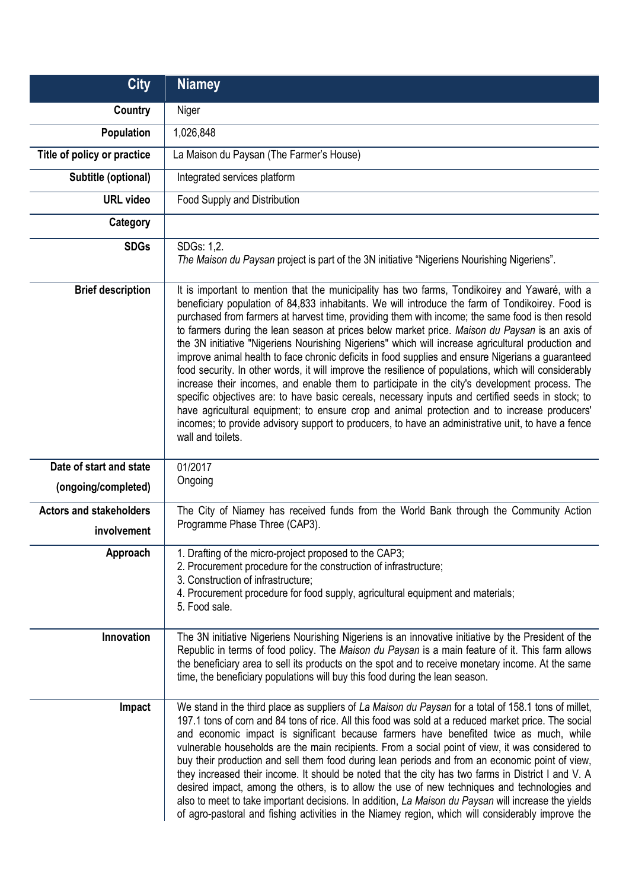| <b>City</b>                                   | <b>Niamey</b>                                                                                                                                                                                                                                                                                                                                                                                                                                                                                                                                                                                                                                                                                                                                                                                                                                                                                                                                                                                                                                                                                                                                                 |
|-----------------------------------------------|---------------------------------------------------------------------------------------------------------------------------------------------------------------------------------------------------------------------------------------------------------------------------------------------------------------------------------------------------------------------------------------------------------------------------------------------------------------------------------------------------------------------------------------------------------------------------------------------------------------------------------------------------------------------------------------------------------------------------------------------------------------------------------------------------------------------------------------------------------------------------------------------------------------------------------------------------------------------------------------------------------------------------------------------------------------------------------------------------------------------------------------------------------------|
| <b>Country</b>                                | Niger                                                                                                                                                                                                                                                                                                                                                                                                                                                                                                                                                                                                                                                                                                                                                                                                                                                                                                                                                                                                                                                                                                                                                         |
| Population                                    | 1,026,848                                                                                                                                                                                                                                                                                                                                                                                                                                                                                                                                                                                                                                                                                                                                                                                                                                                                                                                                                                                                                                                                                                                                                     |
| Title of policy or practice                   | La Maison du Paysan (The Farmer's House)                                                                                                                                                                                                                                                                                                                                                                                                                                                                                                                                                                                                                                                                                                                                                                                                                                                                                                                                                                                                                                                                                                                      |
| Subtitle (optional)                           | Integrated services platform                                                                                                                                                                                                                                                                                                                                                                                                                                                                                                                                                                                                                                                                                                                                                                                                                                                                                                                                                                                                                                                                                                                                  |
| <b>URL</b> video                              | Food Supply and Distribution                                                                                                                                                                                                                                                                                                                                                                                                                                                                                                                                                                                                                                                                                                                                                                                                                                                                                                                                                                                                                                                                                                                                  |
| Category                                      |                                                                                                                                                                                                                                                                                                                                                                                                                                                                                                                                                                                                                                                                                                                                                                                                                                                                                                                                                                                                                                                                                                                                                               |
| <b>SDGs</b>                                   | SDGs: 1,2.<br>The Maison du Paysan project is part of the 3N initiative "Nigeriens Nourishing Nigeriens".                                                                                                                                                                                                                                                                                                                                                                                                                                                                                                                                                                                                                                                                                                                                                                                                                                                                                                                                                                                                                                                     |
| <b>Brief description</b>                      | It is important to mention that the municipality has two farms, Tondikoirey and Yawaré, with a<br>beneficiary population of 84,833 inhabitants. We will introduce the farm of Tondikoirey. Food is<br>purchased from farmers at harvest time, providing them with income; the same food is then resold<br>to farmers during the lean season at prices below market price. Maison du Paysan is an axis of<br>the 3N initiative "Nigeriens Nourishing Nigeriens" which will increase agricultural production and<br>improve animal health to face chronic deficits in food supplies and ensure Nigerians a guaranteed<br>food security. In other words, it will improve the resilience of populations, which will considerably<br>increase their incomes, and enable them to participate in the city's development process. The<br>specific objectives are: to have basic cereals, necessary inputs and certified seeds in stock; to<br>have agricultural equipment; to ensure crop and animal protection and to increase producers'<br>incomes; to provide advisory support to producers, to have an administrative unit, to have a fence<br>wall and toilets. |
| Date of start and state                       | 01/2017                                                                                                                                                                                                                                                                                                                                                                                                                                                                                                                                                                                                                                                                                                                                                                                                                                                                                                                                                                                                                                                                                                                                                       |
| (ongoing/completed)                           | Ongoing                                                                                                                                                                                                                                                                                                                                                                                                                                                                                                                                                                                                                                                                                                                                                                                                                                                                                                                                                                                                                                                                                                                                                       |
| <b>Actors and stakeholders</b><br>involvement | The City of Niamey has received funds from the World Bank through the Community Action<br>Programme Phase Three (CAP3).                                                                                                                                                                                                                                                                                                                                                                                                                                                                                                                                                                                                                                                                                                                                                                                                                                                                                                                                                                                                                                       |
| Approach                                      | 1. Drafting of the micro-project proposed to the CAP3;<br>2. Procurement procedure for the construction of infrastructure;<br>3. Construction of infrastructure;<br>4. Procurement procedure for food supply, agricultural equipment and materials;<br>5. Food sale.                                                                                                                                                                                                                                                                                                                                                                                                                                                                                                                                                                                                                                                                                                                                                                                                                                                                                          |
| Innovation                                    | The 3N initiative Nigeriens Nourishing Nigeriens is an innovative initiative by the President of the<br>Republic in terms of food policy. The Maison du Paysan is a main feature of it. This farm allows<br>the beneficiary area to sell its products on the spot and to receive monetary income. At the same<br>time, the beneficiary populations will buy this food during the lean season.                                                                                                                                                                                                                                                                                                                                                                                                                                                                                                                                                                                                                                                                                                                                                                 |
| Impact                                        | We stand in the third place as suppliers of La Maison du Paysan for a total of 158.1 tons of millet,<br>197.1 tons of corn and 84 tons of rice. All this food was sold at a reduced market price. The social<br>and economic impact is significant because farmers have benefited twice as much, while<br>vulnerable households are the main recipients. From a social point of view, it was considered to<br>buy their production and sell them food during lean periods and from an economic point of view,<br>they increased their income. It should be noted that the city has two farms in District I and V. A<br>desired impact, among the others, is to allow the use of new techniques and technologies and<br>also to meet to take important decisions. In addition, La Maison du Paysan will increase the yields<br>of agro-pastoral and fishing activities in the Niamey region, which will considerably improve the                                                                                                                                                                                                                               |